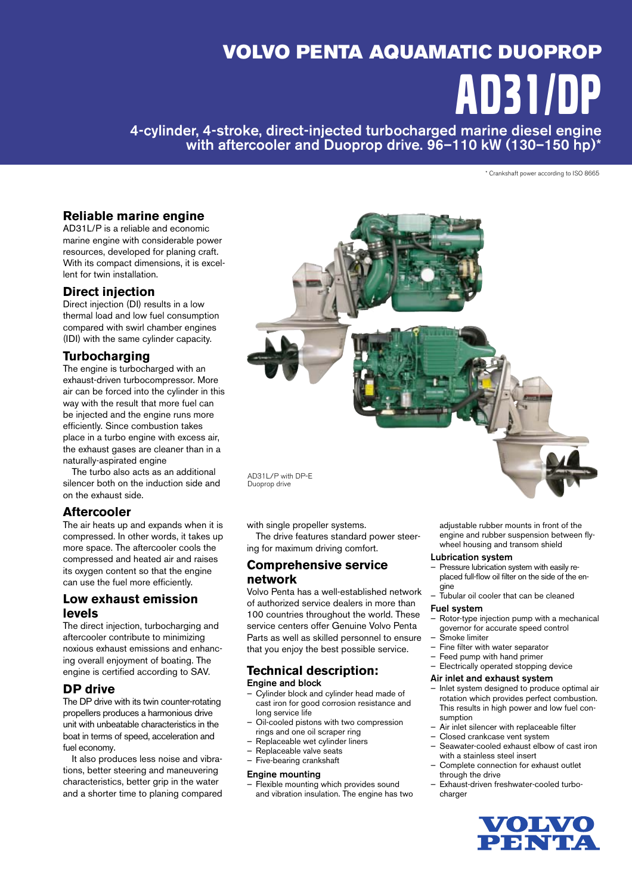# VOLVO PENTA AQUAMATIC DUOPROP AD31/DP

4-cylinder, 4-stroke, direct-injected turbocharged marine diesel engine with aftercooler and Duoprop drive. 96–110 kW (130–150 hp)\*

\* Crankshaft power according to ISO 8665

## **Reliable marine engine**

AD31L/P is a reliable and economic marine engine with considerable power resources, developed for planing craft. With its compact dimensions, it is excellent for twin installation.

## **Direct injection**

Direct injection (DI) results in a low thermal load and low fuel consumption compared with swirl chamber engines (IDI) with the same cylinder capacity.

## **Turbocharging**

The engine is turbocharged with an ex haust-driven turbocompressor. More air can be forced into the cylinder in this way with the result that more fuel can be injected and the engine runs more efficiently. Since combustion takes place in a turbo engine with excess air, the exhaust gases are cleaner than in a naturally-aspirated engine

 The turbo also acts as an additional silencer both on the induction side and on the exhaust side.

## **Aftercooler**

The air heats up and expands when it is compressed. In other words, it takes up more space. The aftercooler cools the com pressed and heated air and raises its oxygen content so that the engine can use the fuel more efficiently.

## **Low exhaust emission levels**

The direct injection, turbocharging and aftercooler contribute to minimizing noxious exhaust emissions and enhancing overall enjoyment of boating. The engine is certified according to SAV.

## **DP drive**

The DP drive with its twin counter-rotating propellers produces a harmonious drive unit with unbeatable characteristics in the boat in terms of speed, acceleration and fuel economy.

It also produces less noise and vibrations, better steering and maneuvering characteristics, better grip in the water and a shorter time to planing compared



Duoprop drive

with single propeller systems.

 The drive features standard power steering for maximum driving comfort.

## **Comprehensive service network**

Volvo Penta has a well-established network of authorized service dealers in more than 100 countries throughout the world. These service centers offer Genuine Volvo Penta Parts as well as skilled personnel to ensure that you enjoy the best possible service.

#### **Technical description:** Engine and block

- Cylinder block and cylinder head made of cast iron for good corrosion resistance and long service life
- Oil-cooled pistons with two compression rings and one oil scraper ring
- Replaceable wet cylinder liners
- Replaceable valve seats
- Five-bearing crankshaft

#### Engine mounting

Flexible mounting which provides sound and vibration insulation. The engine has two adiustable rubber mounts in front of the engine and rubber suspension between flywheel housing and transom shield

#### Lubrication system

- Pressure lubrication system with easily replaced full-flow oil filter on the side of the engine
	- Tubular oil cooler that can be cleaned

#### Fuel system

- Rotor-type injection pump with a mechanical governor for accurate speed control — Smoke limiter
- $-$  Fine filter with water separator
- Feed pump with hand primer
- Electrically operated stopping device

#### Air inlet and exhaust system

- Inlet system designed to produce optimal air rotation which provides perfect combustion. This results in high power and low fuel consumption
- Air inlet silencer with replaceable filter
- Closed crankcase vent system
- Seawater-cooled exhaust elbow of cast iron with a stainless steel insert
- Complete connection for exhaust outlet through the drive
- Exhaust-driven freshwater-cooled turbocharger